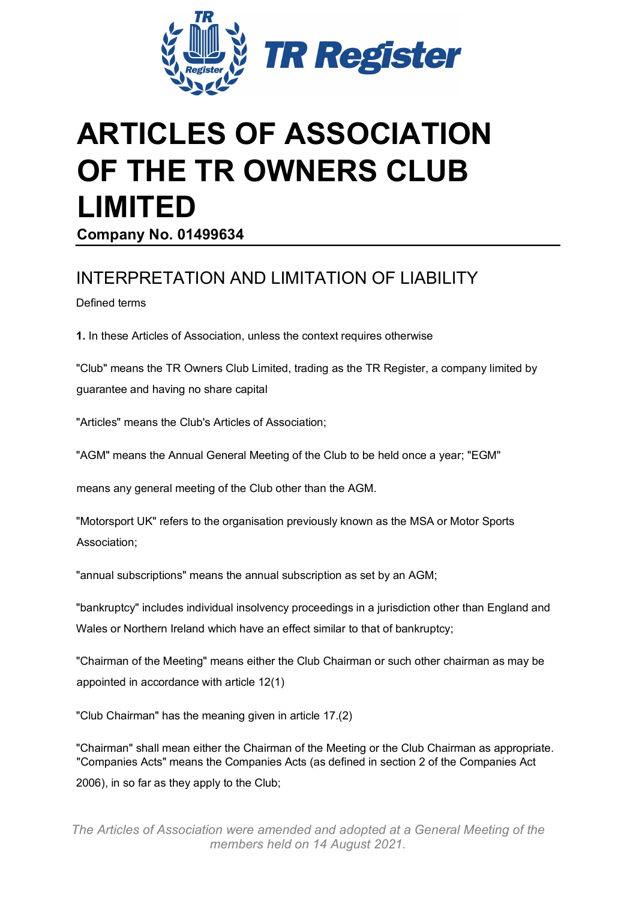

# **ARTICLES OF ASSOCIATION OF THE TR OWNERS CLUB LIMITED**

**Company No. 01499634** 

## INTERPRETATION AND LIMITATION OF LIABILITY

Defined terms

**1.** In these Articles of Association, unless the context requires otherwise

"Club" means the TR Owners Club Limited, trading as the TR Register, a company limited by guarantee and having no share capital

"Articles" means the Club's Articles of Association;

"AGM" means the Annual General Meeting of the Club to be held once a year; "EGM"

means any general meeting of the Club other than the AGM.

"Motorsport UK" refers to the organisation previously known as the MSA or Motor Sports Association;

"annual subscriptions" means the annual subscription as set by an AGM;

"bankruptcy" includes individual insolvency proceedings in a jurisdiction other than England and Wales or Northern Ireland which have an effect similar to that of bankruptcy;

"Chairman of the Meeting" means either the Club Chairman or such other chairman as may be appointed in accordance with article 12(1)

"Club Chairman" has the meaning given in article 17.(2)

"Chairman" shall mean either the Chairman of the Meeting or the Club Chairman as appropriate. "Companies Acts" means the Companies Acts (as defined in section 2 of the Companies Act 2006), in so far as they apply to the Club;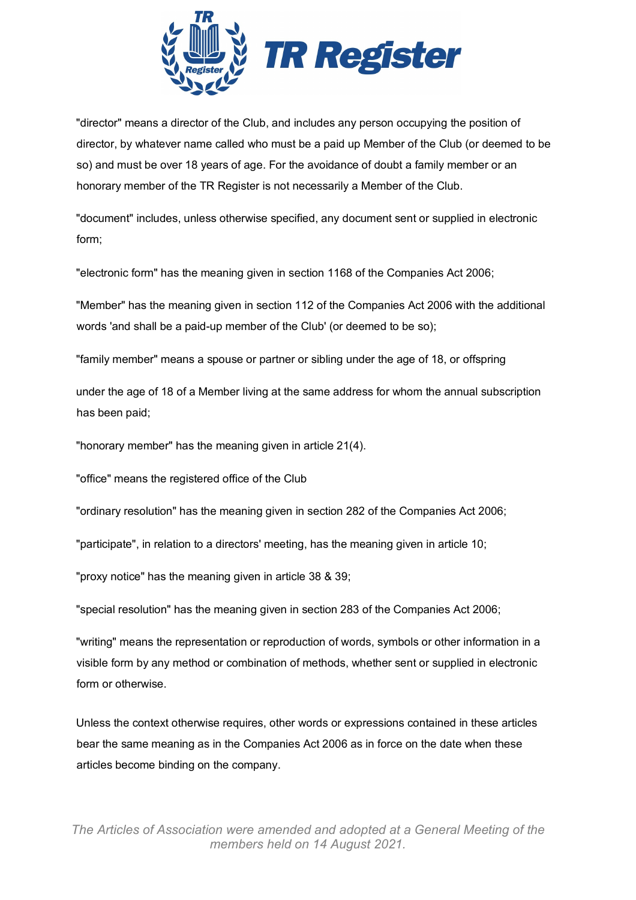

"director" means a director of the Club, and includes any person occupying the position of director, by whatever name called who must be a paid up Member of the Club (or deemed to be so) and must be over 18 years of age. For the avoidance of doubt a family member or an honorary member of the TR Register is not necessarily a Member of the Club.

"document" includes, unless otherwise specified, any document sent or supplied in electronic form;

"electronic form" has the meaning given in section 1168 of the Companies Act 2006;

"Member" has the meaning given in section 112 of the Companies Act 2006 with the additional words 'and shall be a paid-up member of the Club' (or deemed to be so);

"family member" means a spouse or partner or sibling under the age of 18, or offspring

under the age of 18 of a Member living at the same address for whom the annual subscription has been paid;

"honorary member" has the meaning given in article 21(4).

"office" means the registered office of the Club

"ordinary resolution" has the meaning given in section 282 of the Companies Act 2006;

"participate", in relation to a directors' meeting, has the meaning given in article 10;

"proxy notice" has the meaning given in article 38 & 39;

"special resolution" has the meaning given in section 283 of the Companies Act 2006;

"writing" means the representation or reproduction of words, symbols or other information in a visible form by any method or combination of methods, whether sent or supplied in electronic form or otherwise.

Unless the context otherwise requires, other words or expressions contained in these articles bear the same meaning as in the Companies Act 2006 as in force on the date when these articles become binding on the company.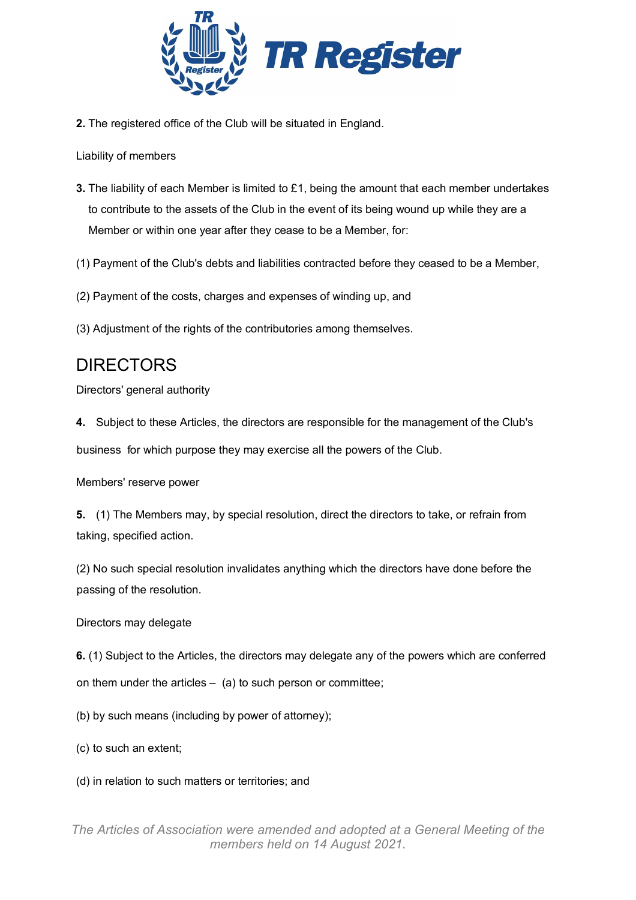

**2.** The registered office of the Club will be situated in England.

Liability of members

- **3.** The liability of each Member is limited to £1, being the amount that each member undertakes to contribute to the assets of the Club in the event of its being wound up while they are a Member or within one year after they cease to be a Member, for:
- (1) Payment of the Club's debts and liabilities contracted before they ceased to be a Member,
- (2) Payment of the costs, charges and expenses of winding up, and
- (3) Adjustment of the rights of the contributories among themselves.

## DIRECTORS

Directors' general authority

**4.** Subject to these Articles, the directors are responsible for the management of the Club's

business for which purpose they may exercise all the powers of the Club.

Members' reserve power

**5.** (1) The Members may, by special resolution, direct the directors to take, or refrain from taking, specified action.

(2) No such special resolution invalidates anything which the directors have done before the passing of the resolution.

Directors may delegate

**6.** (1) Subject to the Articles, the directors may delegate any of the powers which are conferred on them under the articles  $-$  (a) to such person or committee;

(b) by such means (including by power of attorney);

(c) to such an extent;

(d) in relation to such matters or territories; and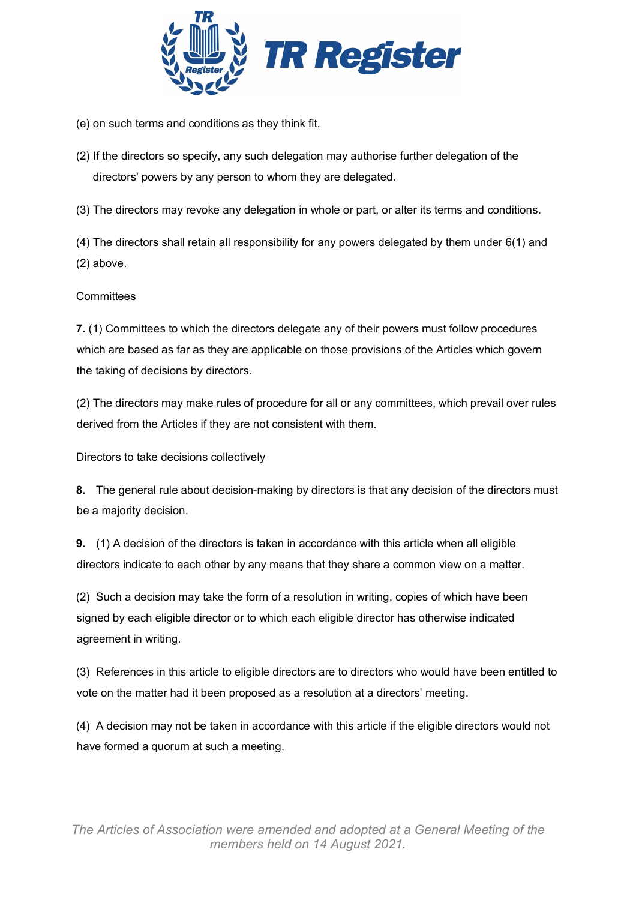

(e) on such terms and conditions as they think fit.

(2) If the directors so specify, any such delegation may authorise further delegation of the directors' powers by any person to whom they are delegated.

(3) The directors may revoke any delegation in whole or part, or alter its terms and conditions.

(4) The directors shall retain all responsibility for any powers delegated by them under 6(1) and (2) above.

## **Committees**

**7.** (1) Committees to which the directors delegate any of their powers must follow procedures which are based as far as they are applicable on those provisions of the Articles which govern the taking of decisions by directors.

(2) The directors may make rules of procedure for all or any committees, which prevail over rules derived from the Articles if they are not consistent with them.

Directors to take decisions collectively

**8.** The general rule about decision-making by directors is that any decision of the directors must be a majority decision.

**9.** (1) A decision of the directors is taken in accordance with this article when all eligible directors indicate to each other by any means that they share a common view on a matter.

(2) Such a decision may take the form of a resolution in writing, copies of which have been signed by each eligible director or to which each eligible director has otherwise indicated agreement in writing.

(3) References in this article to eligible directors are to directors who would have been entitled to vote on the matter had it been proposed as a resolution at a directors' meeting.

(4) A decision may not be taken in accordance with this article if the eligible directors would not have formed a quorum at such a meeting.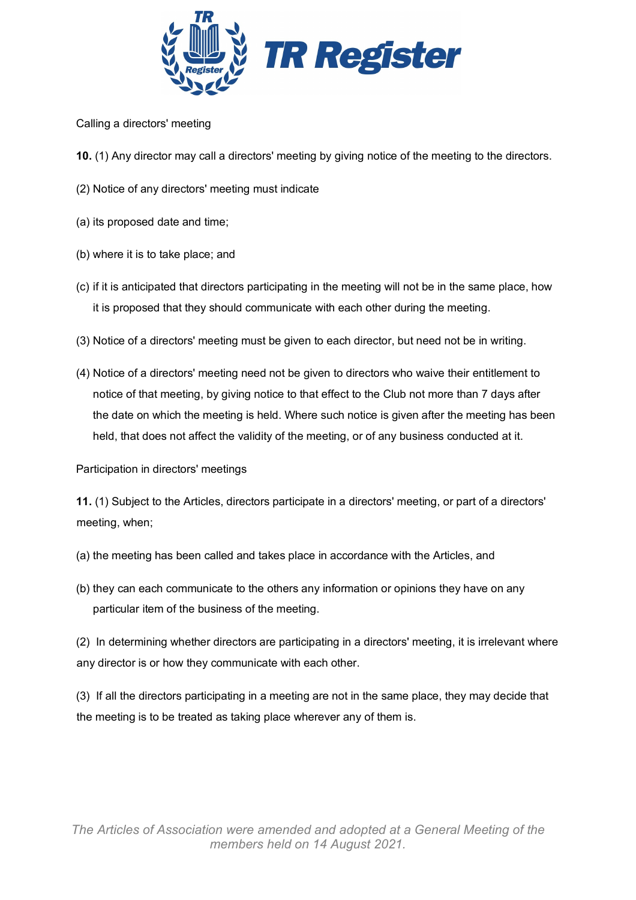

Calling a directors' meeting

- **10.** (1) Any director may call a directors' meeting by giving notice of the meeting to the directors.
- (2) Notice of any directors' meeting must indicate
- (a) its proposed date and time;
- (b) where it is to take place; and
- (c) if it is anticipated that directors participating in the meeting will not be in the same place, how it is proposed that they should communicate with each other during the meeting.
- (3) Notice of a directors' meeting must be given to each director, but need not be in writing.
- (4) Notice of a directors' meeting need not be given to directors who waive their entitlement to notice of that meeting, by giving notice to that effect to the Club not more than 7 days after the date on which the meeting is held. Where such notice is given after the meeting has been held, that does not affect the validity of the meeting, or of any business conducted at it.

Participation in directors' meetings

**11.** (1) Subject to the Articles, directors participate in a directors' meeting, or part of a directors' meeting, when;

- (a) the meeting has been called and takes place in accordance with the Articles, and
- (b) they can each communicate to the others any information or opinions they have on any particular item of the business of the meeting.

(2) In determining whether directors are participating in a directors' meeting, it is irrelevant where any director is or how they communicate with each other.

(3) If all the directors participating in a meeting are not in the same place, they may decide that the meeting is to be treated as taking place wherever any of them is.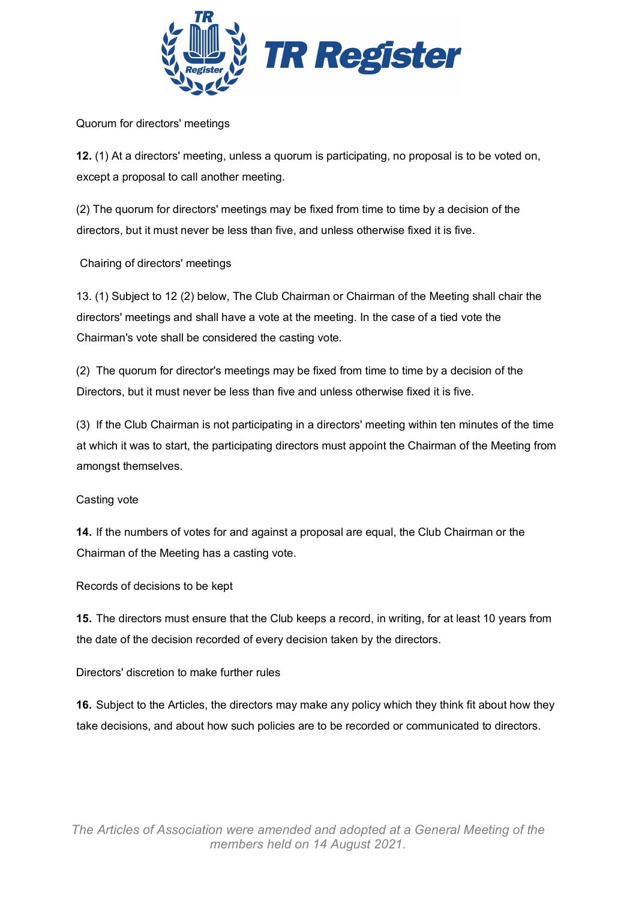

## Quorum for directors' meetings

**12.** (1) At a directors' meeting, unless a quorum is participating, no proposal is to be voted on, except a proposal to call another meeting.

(2) The quorum for directors' meetings may be fixed from time to time by a decision of the directors, but it must never be less than five, and unless otherwise fixed it is five.

## Chairing of directors' meetings

13. (1) Subject to 12 (2) below, The Club Chairman or Chairman of the Meeting shall chair the directors' meetings and shall have a vote at the meeting. In the case of a tied vote the Chairman's vote shall be considered the casting vote.

(2) The quorum for director's meetings may be fixed from time to time by a decision of the Directors, but it must never be less than five and unless otherwise fixed it is five.

(3) If the Club Chairman is not participating in a directors' meeting within ten minutes of the time at which it was to start, the participating directors must appoint the Chairman of the Meeting from amongst themselves.

#### Casting vote

**14.** If the numbers of votes for and against a proposal are equal, the Club Chairman or the Chairman of the Meeting has a casting vote.

Records of decisions to be kept

**15.** The directors must ensure that the Club keeps a record, in writing, for at least 10 years from the date of the decision recorded of every decision taken by the directors.

#### Directors' discretion to make further rules

**16.** Subject to the Articles, the directors may make any policy which they think fit about how they take decisions, and about how such policies are to be recorded or communicated to directors.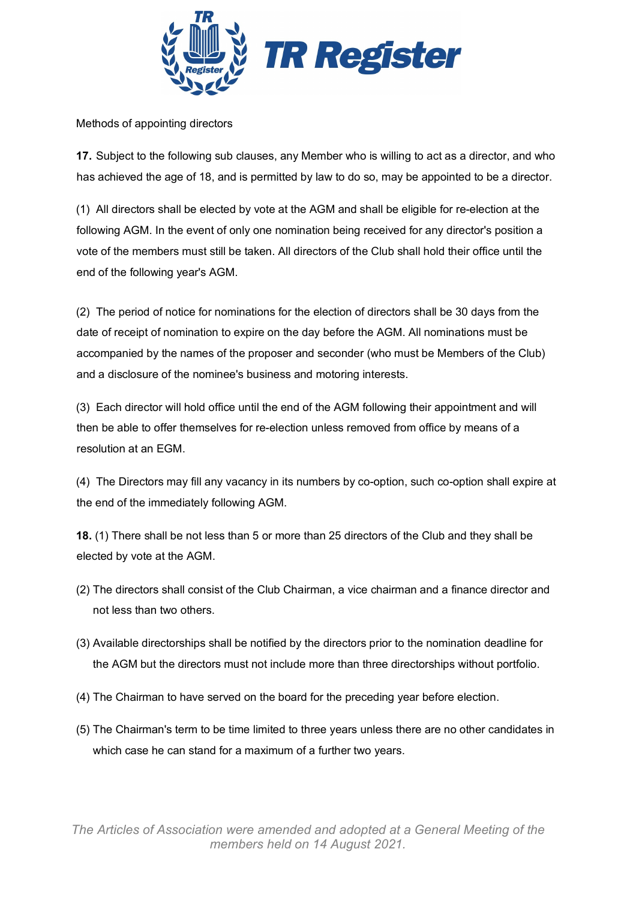

Methods of appointing directors

**17.** Subject to the following sub clauses, any Member who is willing to act as a director, and who has achieved the age of 18, and is permitted by law to do so, may be appointed to be a director.

(1) All directors shall be elected by vote at the AGM and shall be eligible for re-election at the following AGM. In the event of only one nomination being received for any director's position a vote of the members must still be taken. All directors of the Club shall hold their office until the end of the following year's AGM.

(2) The period of notice for nominations for the election of directors shall be 30 days from the date of receipt of nomination to expire on the day before the AGM. All nominations must be accompanied by the names of the proposer and seconder (who must be Members of the Club) and a disclosure of the nominee's business and motoring interests.

(3) Each director will hold office until the end of the AGM following their appointment and will then be able to offer themselves for re-election unless removed from office by means of a resolution at an EGM.

(4) The Directors may fill any vacancy in its numbers by co-option, such co-option shall expire at the end of the immediately following AGM.

**18.** (1) There shall be not less than 5 or more than 25 directors of the Club and they shall be elected by vote at the AGM.

- (2) The directors shall consist of the Club Chairman, a vice chairman and a finance director and not less than two others.
- (3) Available directorships shall be notified by the directors prior to the nomination deadline for the AGM but the directors must not include more than three directorships without portfolio.
- (4) The Chairman to have served on the board for the preceding year before election.
- (5) The Chairman's term to be time limited to three years unless there are no other candidates in which case he can stand for a maximum of a further two years.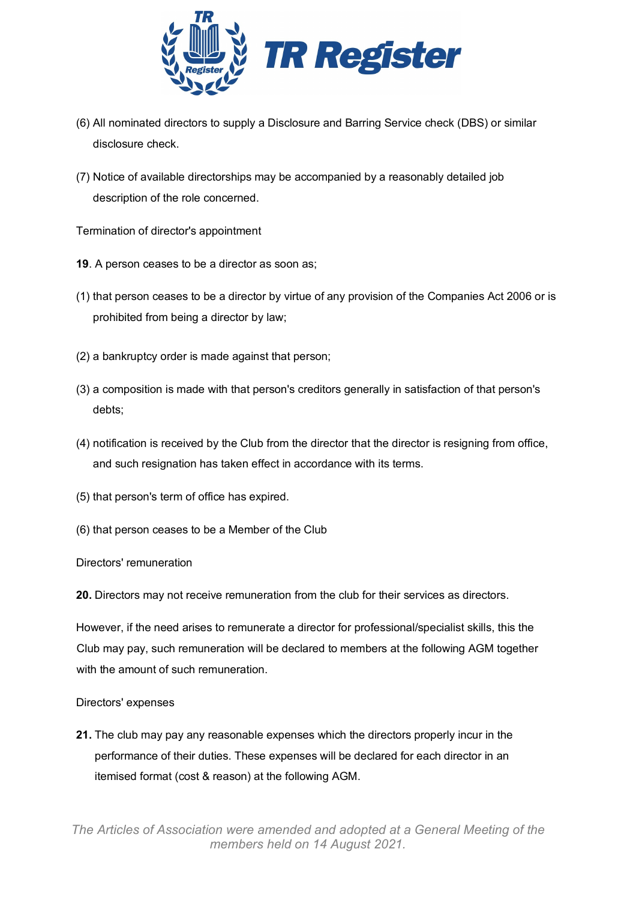

- (6) All nominated directors to supply a Disclosure and Barring Service check (DBS) or similar disclosure check.
- (7) Notice of available directorships may be accompanied by a reasonably detailed job description of the role concerned.

Termination of director's appointment

- **19**. A person ceases to be a director as soon as;
- (1) that person ceases to be a director by virtue of any provision of the Companies Act 2006 or is prohibited from being a director by law;
- (2) a bankruptcy order is made against that person;
- (3) a composition is made with that person's creditors generally in satisfaction of that person's debts;
- (4) notification is received by the Club from the director that the director is resigning from office, and such resignation has taken effect in accordance with its terms.
- (5) that person's term of office has expired.
- (6) that person ceases to be a Member of the Club

#### Directors' remuneration

**20.** Directors may not receive remuneration from the club for their services as directors.

However, if the need arises to remunerate a director for professional/specialist skills, this the Club may pay, such remuneration will be declared to members at the following AGM together with the amount of such remuneration.

#### Directors' expenses

**21.** The club may pay any reasonable expenses which the directors properly incur in the performance of their duties. These expenses will be declared for each director in an itemised format (cost & reason) at the following AGM.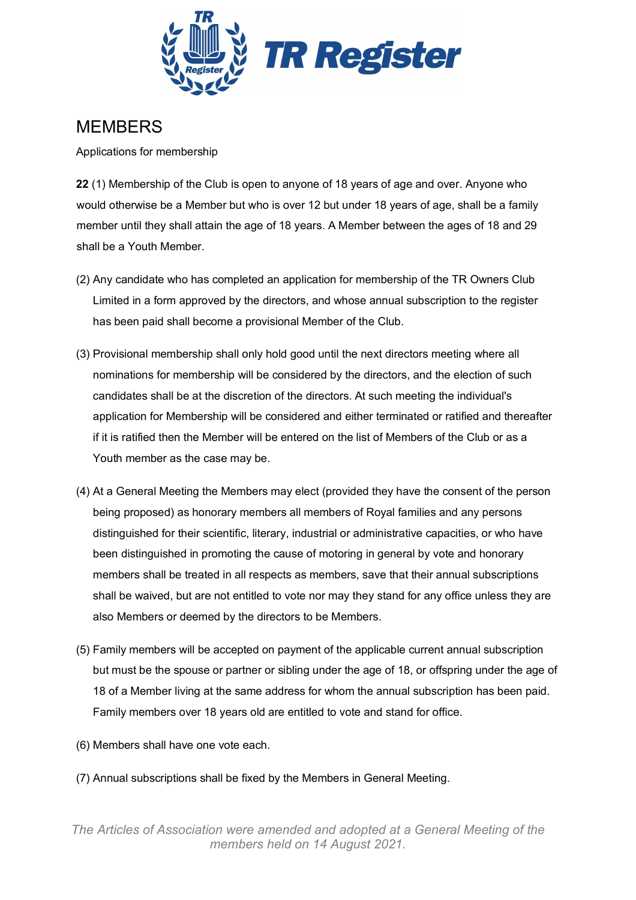

## **MEMBERS**

Applications for membership

**22** (1) Membership of the Club is open to anyone of 18 years of age and over. Anyone who would otherwise be a Member but who is over 12 but under 18 years of age, shall be a family member until they shall attain the age of 18 years. A Member between the ages of 18 and 29 shall be a Youth Member.

- (2) Any candidate who has completed an application for membership of the TR Owners Club Limited in a form approved by the directors, and whose annual subscription to the register has been paid shall become a provisional Member of the Club.
- (3) Provisional membership shall only hold good until the next directors meeting where all nominations for membership will be considered by the directors, and the election of such candidates shall be at the discretion of the directors. At such meeting the individual's application for Membership will be considered and either terminated or ratified and thereafter if it is ratified then the Member will be entered on the list of Members of the Club or as a Youth member as the case may be.
- (4) At a General Meeting the Members may elect (provided they have the consent of the person being proposed) as honorary members all members of Royal families and any persons distinguished for their scientific, literary, industrial or administrative capacities, or who have been distinguished in promoting the cause of motoring in general by vote and honorary members shall be treated in all respects as members, save that their annual subscriptions shall be waived, but are not entitled to vote nor may they stand for any office unless they are also Members or deemed by the directors to be Members.
- (5) Family members will be accepted on payment of the applicable current annual subscription but must be the spouse or partner or sibling under the age of 18, or offspring under the age of 18 of a Member living at the same address for whom the annual subscription has been paid. Family members over 18 years old are entitled to vote and stand for office.
- (6) Members shall have one vote each.
- (7) Annual subscriptions shall be fixed by the Members in General Meeting.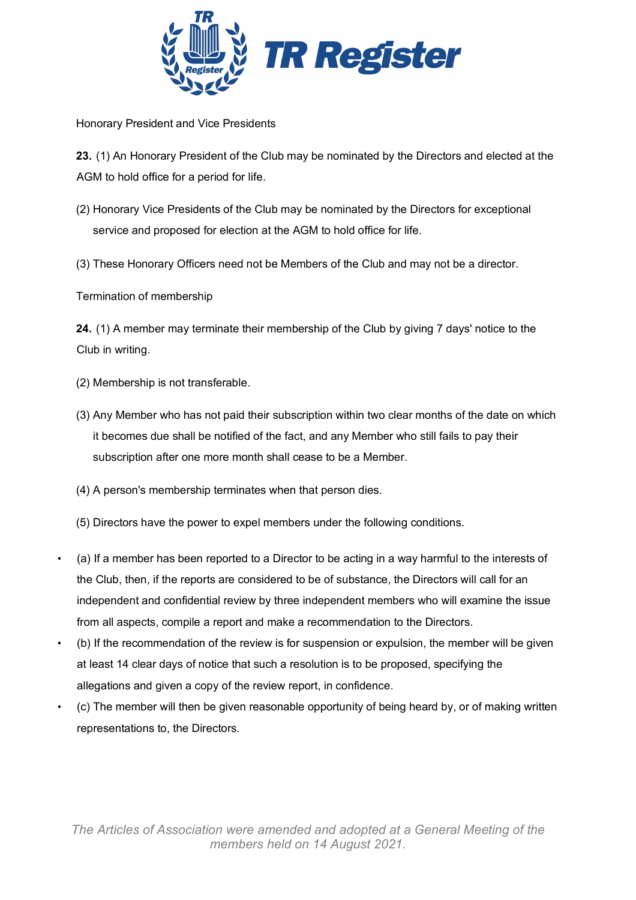

Honorary President and Vice Presidents

**23.** (1) An Honorary President of the Club may be nominated by the Directors and elected at the AGM to hold office for a period for life.

- (2) Honorary Vice Presidents of the Club may be nominated by the Directors for exceptional service and proposed for election at the AGM to hold office for life.
- (3) These Honorary Officers need not be Members of the Club and may not be a director.

Termination of membership

**24.** (1) A member may terminate their membership of the Club by giving 7 days' notice to the Club in writing.

- (2) Membership is not transferable.
- (3) Any Member who has not paid their subscription within two clear months of the date on which it becomes due shall be notified of the fact, and any Member who still fails to pay their subscription after one more month shall cease to be a Member.
- (4) A person's membership terminates when that person dies.
- (5) Directors have the power to expel members under the following conditions.
- (a) If a member has been reported to a Director to be acting in a way harmful to the interests of the Club, then, if the reports are considered to be of substance, the Directors will call for an independent and confidential review by three independent members who will examine the issue from all aspects, compile a report and make a recommendation to the Directors.
- (b) If the recommendation of the review is for suspension or expulsion, the member will be given at least 14 clear days of notice that such a resolution is to be proposed, specifying the allegations and given a copy of the review report, in confidence.
- (c) The member will then be given reasonable opportunity of being heard by, or of making written representations to, the Directors.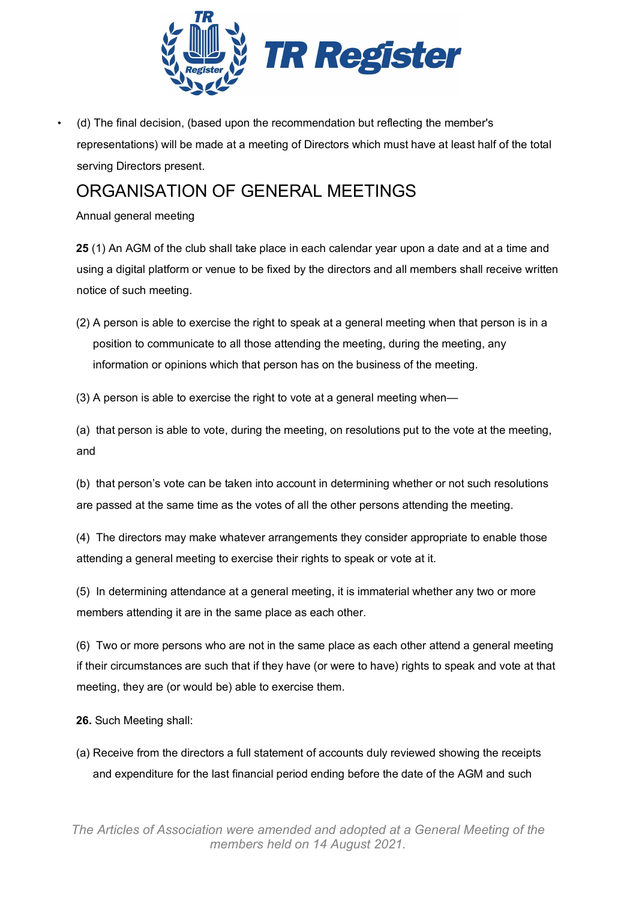

• (d) The final decision, (based upon the recommendation but reflecting the member's representations) will be made at a meeting of Directors which must have at least half of the total serving Directors present.

## ORGANISATION OF GENERAL MEETINGS

Annual general meeting

**25** (1) An AGM of the club shall take place in each calendar year upon a date and at a time and using a digital platform or venue to be fixed by the directors and all members shall receive written notice of such meeting.

(2) A person is able to exercise the right to speak at a general meeting when that person is in a position to communicate to all those attending the meeting, during the meeting, any information or opinions which that person has on the business of the meeting.

(3) A person is able to exercise the right to vote at a general meeting when—

(a) that person is able to vote, during the meeting, on resolutions put to the vote at the meeting, and

(b) that person's vote can be taken into account in determining whether or not such resolutions are passed at the same time as the votes of all the other persons attending the meeting.

(4) The directors may make whatever arrangements they consider appropriate to enable those attending a general meeting to exercise their rights to speak or vote at it.

(5) In determining attendance at a general meeting, it is immaterial whether any two or more members attending it are in the same place as each other.

(6) Two or more persons who are not in the same place as each other attend a general meeting if their circumstances are such that if they have (or were to have) rights to speak and vote at that meeting, they are (or would be) able to exercise them.

**26.** Such Meeting shall:

(a) Receive from the directors a full statement of accounts duly reviewed showing the receipts and expenditure for the last financial period ending before the date of the AGM and such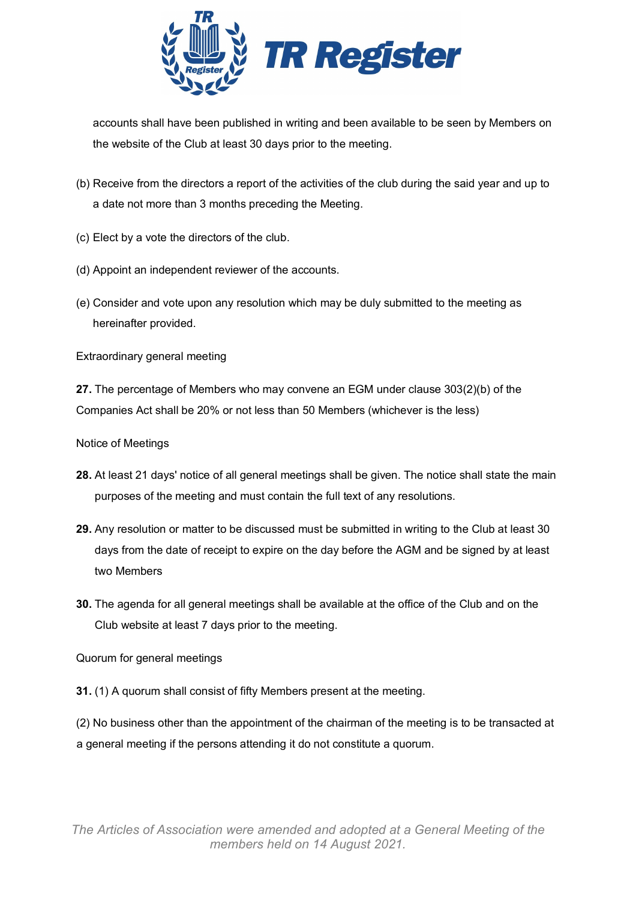

accounts shall have been published in writing and been available to be seen by Members on the website of the Club at least 30 days prior to the meeting.

- (b) Receive from the directors a report of the activities of the club during the said year and up to a date not more than 3 months preceding the Meeting.
- (c) Elect by a vote the directors of the club.
- (d) Appoint an independent reviewer of the accounts.
- (e) Consider and vote upon any resolution which may be duly submitted to the meeting as hereinafter provided.

Extraordinary general meeting

**27.** The percentage of Members who may convene an EGM under clause 303(2)(b) of the Companies Act shall be 20% or not less than 50 Members (whichever is the less)

Notice of Meetings

- **28.** At least 21 days' notice of all general meetings shall be given. The notice shall state the main purposes of the meeting and must contain the full text of any resolutions.
- **29.** Any resolution or matter to be discussed must be submitted in writing to the Club at least 30 days from the date of receipt to expire on the day before the AGM and be signed by at least two Members
- **30.** The agenda for all general meetings shall be available at the office of the Club and on the Club website at least 7 days prior to the meeting.

Quorum for general meetings

**31.** (1) A quorum shall consist of fifty Members present at the meeting.

(2) No business other than the appointment of the chairman of the meeting is to be transacted at a general meeting if the persons attending it do not constitute a quorum.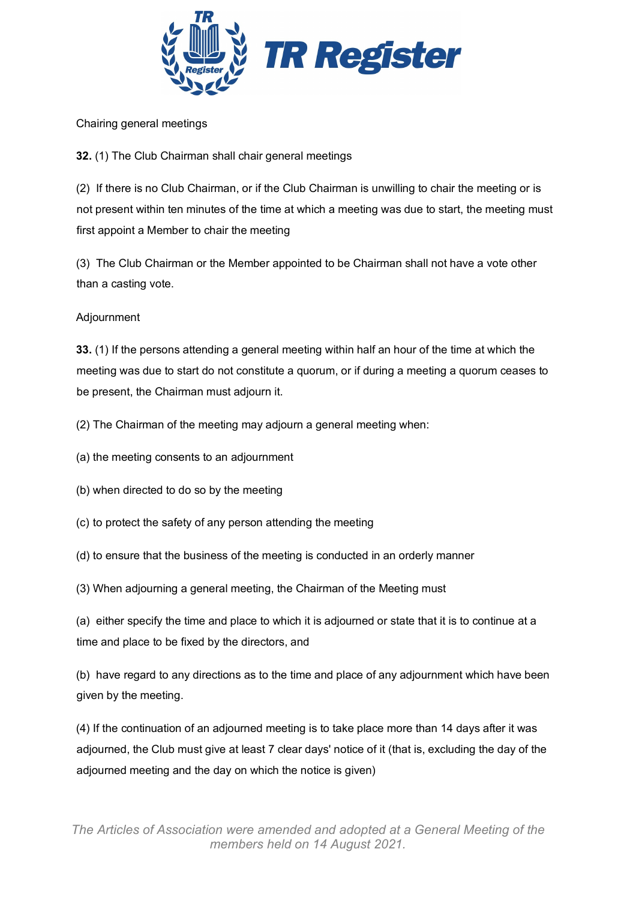

Chairing general meetings

**32.** (1) The Club Chairman shall chair general meetings

(2) If there is no Club Chairman, or if the Club Chairman is unwilling to chair the meeting or is not present within ten minutes of the time at which a meeting was due to start, the meeting must first appoint a Member to chair the meeting

(3) The Club Chairman or the Member appointed to be Chairman shall not have a vote other than a casting vote.

## Adjournment

**33.** (1) If the persons attending a general meeting within half an hour of the time at which the meeting was due to start do not constitute a quorum, or if during a meeting a quorum ceases to be present, the Chairman must adjourn it.

(2) The Chairman of the meeting may adjourn a general meeting when:

- (a) the meeting consents to an adjournment
- (b) when directed to do so by the meeting
- (c) to protect the safety of any person attending the meeting
- (d) to ensure that the business of the meeting is conducted in an orderly manner
- (3) When adjourning a general meeting, the Chairman of the Meeting must

(a) either specify the time and place to which it is adjourned or state that it is to continue at a time and place to be fixed by the directors, and

(b) have regard to any directions as to the time and place of any adjournment which have been given by the meeting.

(4) If the continuation of an adjourned meeting is to take place more than 14 days after it was adjourned, the Club must give at least 7 clear days' notice of it (that is, excluding the day of the adjourned meeting and the day on which the notice is given)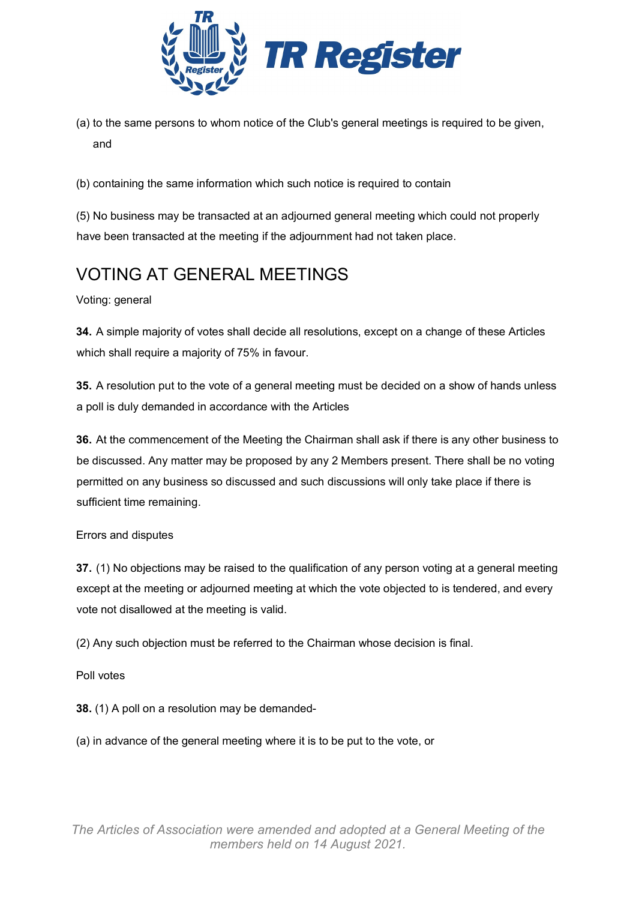

(a) to the same persons to whom notice of the Club's general meetings is required to be given, and

(b) containing the same information which such notice is required to contain

(5) No business may be transacted at an adjourned general meeting which could not properly have been transacted at the meeting if the adjournment had not taken place.

## VOTING AT GENERAL MEETINGS

Voting: general

**34.** A simple majority of votes shall decide all resolutions, except on a change of these Articles which shall require a majority of 75% in favour.

**35.** A resolution put to the vote of a general meeting must be decided on a show of hands unless a poll is duly demanded in accordance with the Articles

**36.** At the commencement of the Meeting the Chairman shall ask if there is any other business to be discussed. Any matter may be proposed by any 2 Members present. There shall be no voting permitted on any business so discussed and such discussions will only take place if there is sufficient time remaining.

## Errors and disputes

**37.** (1) No objections may be raised to the qualification of any person voting at a general meeting except at the meeting or adjourned meeting at which the vote objected to is tendered, and every vote not disallowed at the meeting is valid.

(2) Any such objection must be referred to the Chairman whose decision is final.

Poll votes

**38.** (1) A poll on a resolution may be demanded-

(a) in advance of the general meeting where it is to be put to the vote, or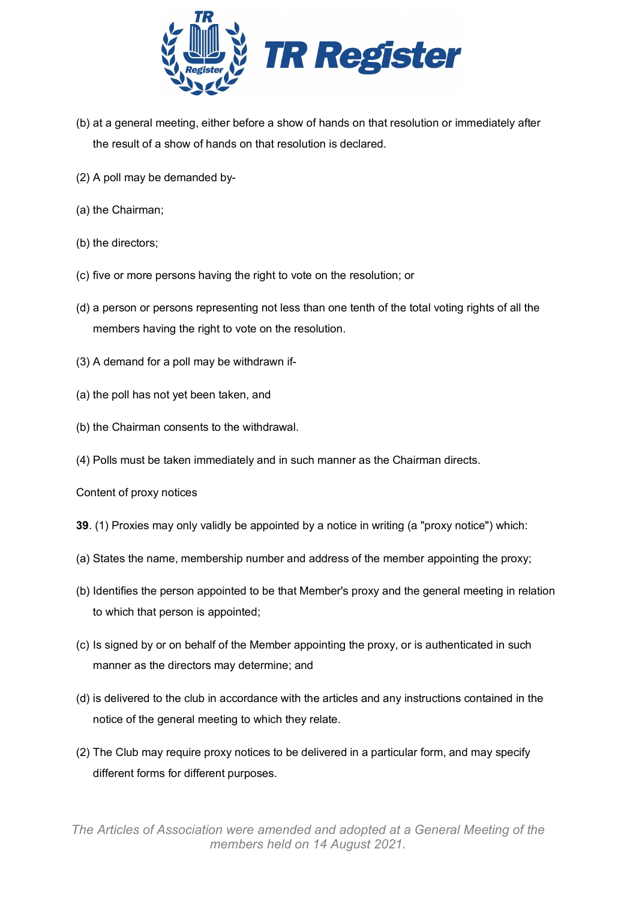

- (b) at a general meeting, either before a show of hands on that resolution or immediately after the result of a show of hands on that resolution is declared.
- (2) A poll may be demanded by-
- (a) the Chairman;
- (b) the directors;
- (c) five or more persons having the right to vote on the resolution; or
- (d) a person or persons representing not less than one tenth of the total voting rights of all the members having the right to vote on the resolution.
- (3) A demand for a poll may be withdrawn if-
- (a) the poll has not yet been taken, and
- (b) the Chairman consents to the withdrawal.
- (4) Polls must be taken immediately and in such manner as the Chairman directs.
- Content of proxy notices
- **39**. (1) Proxies may only validly be appointed by a notice in writing (a "proxy notice") which:
- (a) States the name, membership number and address of the member appointing the proxy;
- (b) Identifies the person appointed to be that Member's proxy and the general meeting in relation to which that person is appointed;
- (c) Is signed by or on behalf of the Member appointing the proxy, or is authenticated in such manner as the directors may determine; and
- (d) is delivered to the club in accordance with the articles and any instructions contained in the notice of the general meeting to which they relate.
- (2) The Club may require proxy notices to be delivered in a particular form, and may specify different forms for different purposes.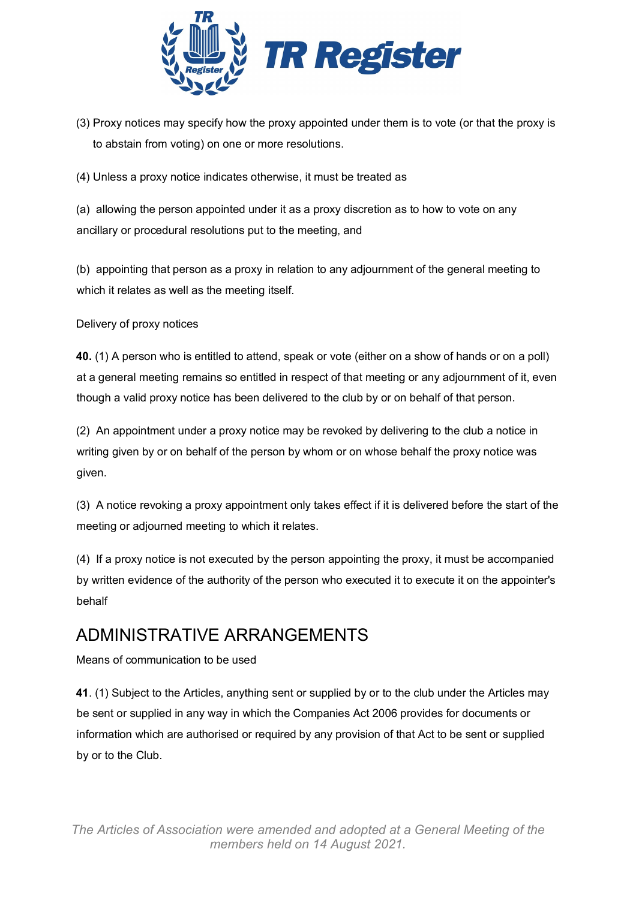

(3) Proxy notices may specify how the proxy appointed under them is to vote (or that the proxy is to abstain from voting) on one or more resolutions.

(4) Unless a proxy notice indicates otherwise, it must be treated as

(a) allowing the person appointed under it as a proxy discretion as to how to vote on any ancillary or procedural resolutions put to the meeting, and

(b) appointing that person as a proxy in relation to any adjournment of the general meeting to which it relates as well as the meeting itself.

Delivery of proxy notices

**40.** (1) A person who is entitled to attend, speak or vote (either on a show of hands or on a poll) at a general meeting remains so entitled in respect of that meeting or any adjournment of it, even though a valid proxy notice has been delivered to the club by or on behalf of that person.

(2) An appointment under a proxy notice may be revoked by delivering to the club a notice in writing given by or on behalf of the person by whom or on whose behalf the proxy notice was given.

(3) A notice revoking a proxy appointment only takes effect if it is delivered before the start of the meeting or adjourned meeting to which it relates.

(4) If a proxy notice is not executed by the person appointing the proxy, it must be accompanied by written evidence of the authority of the person who executed it to execute it on the appointer's behalf

## ADMINISTRATIVE ARRANGEMENTS

Means of communication to be used

**41**. (1) Subject to the Articles, anything sent or supplied by or to the club under the Articles may be sent or supplied in any way in which the Companies Act 2006 provides for documents or information which are authorised or required by any provision of that Act to be sent or supplied by or to the Club.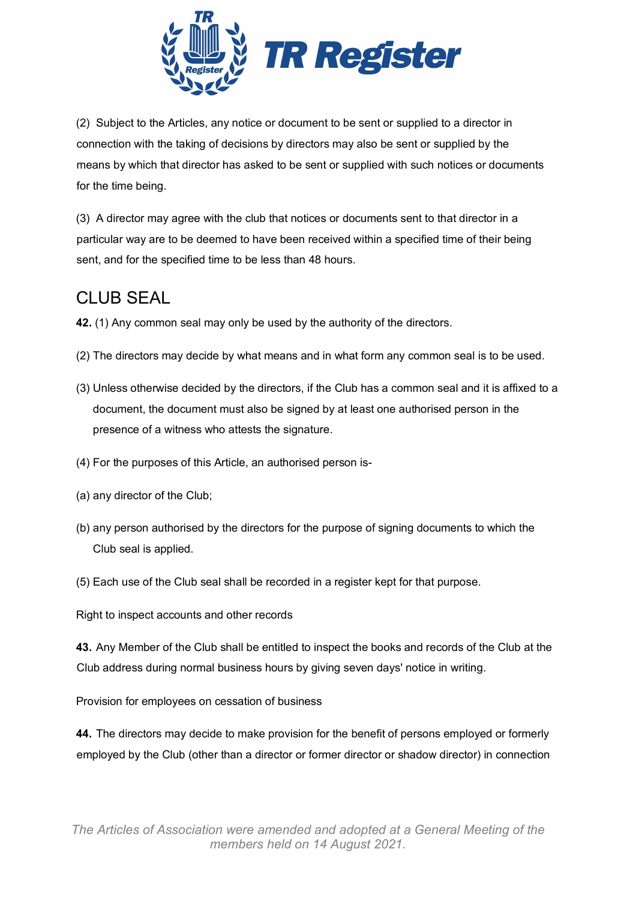

(2) Subject to the Articles, any notice or document to be sent or supplied to a director in connection with the taking of decisions by directors may also be sent or supplied by the means by which that director has asked to be sent or supplied with such notices or documents for the time being.

(3) A director may agree with the club that notices or documents sent to that director in a particular way are to be deemed to have been received within a specified time of their being sent, and for the specified time to be less than 48 hours.

## CLUB SEAL

**42.** (1) Any common seal may only be used by the authority of the directors.

- (2) The directors may decide by what means and in what form any common seal is to be used.
- (3) Unless otherwise decided by the directors, if the Club has a common seal and it is affixed to a document, the document must also be signed by at least one authorised person in the presence of a witness who attests the signature.
- (4) For the purposes of this Article, an authorised person is-
- (a) any director of the Club;
- (b) any person authorised by the directors for the purpose of signing documents to which the Club seal is applied.
- (5) Each use of the Club seal shall be recorded in a register kept for that purpose.

Right to inspect accounts and other records

**43.** Any Member of the Club shall be entitled to inspect the books and records of the Club at the Club address during normal business hours by giving seven days' notice in writing.

Provision for employees on cessation of business

**44.** The directors may decide to make provision for the benefit of persons employed or formerly employed by the Club (other than a director or former director or shadow director) in connection